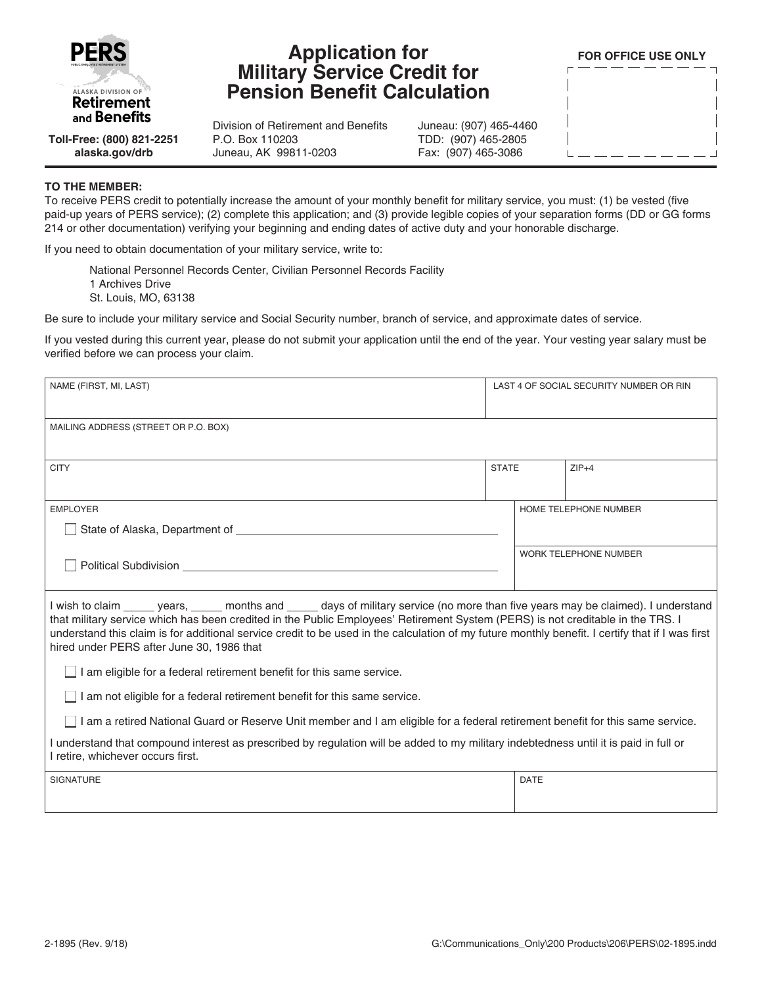

## **Application for Military Service Credit for Pension Benefit Calculation**

**FOR OFFICE USE ONLY**

**Toll-Free: (800) 821-2251 alaska.gov/drb**

## Division of Retirement and Benefits P.O. Box 110203 Juneau, AK 99811-0203

Juneau: (907) 465-4460 TDD: (907) 465-2805 Fax: (907) 465-3086

## **TO THE MEMBER:**

To receive PERS credit to potentially increase the amount of your monthly benefit for military service, you must: (1) be vested (five paid-up years of PERS service); (2) complete this application; and (3) provide legible copies of your separation forms (DD or GG forms 214 or other documentation) verifying your beginning and ending dates of active duty and your honorable discharge.

If you need to obtain documentation of your military service, write to:

National Personnel Records Center, Civilian Personnel Records Facility 1 Archives Drive St. Louis, MO, 63138

Be sure to include your military service and Social Security number, branch of service, and approximate dates of service.

If you vested during this current year, please do not submit your application until the end of the year. Your vesting year salary must be verified before we can process your claim.

| NAME (FIRST, MI, LAST)                                                                                                                                                                                                                                                                                                                                                                                                                                                    |              | LAST 4 OF SOCIAL SECURITY NUMBER OR RIN |         |  |  |
|---------------------------------------------------------------------------------------------------------------------------------------------------------------------------------------------------------------------------------------------------------------------------------------------------------------------------------------------------------------------------------------------------------------------------------------------------------------------------|--------------|-----------------------------------------|---------|--|--|
| MAILING ADDRESS (STREET OR P.O. BOX)                                                                                                                                                                                                                                                                                                                                                                                                                                      |              |                                         |         |  |  |
| <b>CITY</b>                                                                                                                                                                                                                                                                                                                                                                                                                                                               | <b>STATE</b> |                                         | $ZIP+4$ |  |  |
| <b>EMPLOYER</b>                                                                                                                                                                                                                                                                                                                                                                                                                                                           |              | HOME TELEPHONE NUMBER                   |         |  |  |
| Political Subdivision <b>Example 2018 Political Subdivision</b>                                                                                                                                                                                                                                                                                                                                                                                                           |              | <b>WORK TELEPHONE NUMBER</b>            |         |  |  |
| I wish to claim ______ years, ______ months and _____ days of military service (no more than five years may be claimed). I understand<br>that military service which has been credited in the Public Employees' Retirement System (PERS) is not creditable in the TRS. I<br>understand this claim is for additional service credit to be used in the calculation of my future monthly benefit. I certify that if I was first<br>hired under PERS after June 30, 1986 that |              |                                         |         |  |  |
| $\Box$ I am eligible for a federal retirement benefit for this same service.                                                                                                                                                                                                                                                                                                                                                                                              |              |                                         |         |  |  |
| I am not eligible for a federal retirement benefit for this same service.                                                                                                                                                                                                                                                                                                                                                                                                 |              |                                         |         |  |  |
| I am a retired National Guard or Reserve Unit member and I am eligible for a federal retirement benefit for this same service.                                                                                                                                                                                                                                                                                                                                            |              |                                         |         |  |  |
| I understand that compound interest as prescribed by regulation will be added to my military indebtedness until it is paid in full or<br>I retire, whichever occurs first.                                                                                                                                                                                                                                                                                                |              |                                         |         |  |  |
| <b>SIGNATURE</b>                                                                                                                                                                                                                                                                                                                                                                                                                                                          |              | <b>DATE</b>                             |         |  |  |